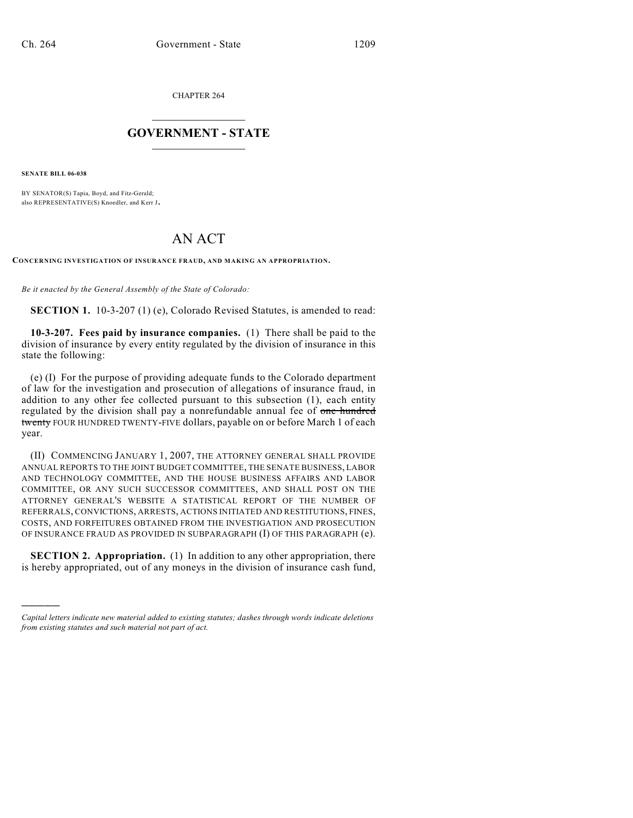CHAPTER 264

## $\mathcal{L}_\text{max}$  . The set of the set of the set of the set of the set of the set of the set of the set of the set of the set of the set of the set of the set of the set of the set of the set of the set of the set of the set **GOVERNMENT - STATE**  $\_$   $\_$

**SENATE BILL 06-038**

)))))

BY SENATOR(S) Tapia, Boyd, and Fitz-Gerald; also REPRESENTATIVE(S) Knoedler, and Kerr J.

## AN ACT

**CONCERNING INVESTIGATION OF INSURANCE FRAUD, AND MAKING AN APPROPRIATION.**

*Be it enacted by the General Assembly of the State of Colorado:*

**SECTION 1.** 10-3-207 (1) (e), Colorado Revised Statutes, is amended to read:

**10-3-207. Fees paid by insurance companies.** (1) There shall be paid to the division of insurance by every entity regulated by the division of insurance in this state the following:

(e) (I) For the purpose of providing adequate funds to the Colorado department of law for the investigation and prosecution of allegations of insurance fraud, in addition to any other fee collected pursuant to this subsection (1), each entity regulated by the division shall pay a nonrefundable annual fee of one hundred twenty FOUR HUNDRED TWENTY-FIVE dollars, payable on or before March 1 of each year.

(II) COMMENCING JANUARY 1, 2007, THE ATTORNEY GENERAL SHALL PROVIDE ANNUAL REPORTS TO THE JOINT BUDGET COMMITTEE, THE SENATE BUSINESS, LABOR AND TECHNOLOGY COMMITTEE, AND THE HOUSE BUSINESS AFFAIRS AND LABOR COMMITTEE, OR ANY SUCH SUCCESSOR COMMITTEES, AND SHALL POST ON THE ATTORNEY GENERAL'S WEBSITE A STATISTICAL REPORT OF THE NUMBER OF REFERRALS, CONVICTIONS, ARRESTS, ACTIONS INITIATED AND RESTITUTIONS, FINES, COSTS, AND FORFEITURES OBTAINED FROM THE INVESTIGATION AND PROSECUTION OF INSURANCE FRAUD AS PROVIDED IN SUBPARAGRAPH (I) OF THIS PARAGRAPH (e).

**SECTION 2. Appropriation.** (1) In addition to any other appropriation, there is hereby appropriated, out of any moneys in the division of insurance cash fund,

*Capital letters indicate new material added to existing statutes; dashes through words indicate deletions from existing statutes and such material not part of act.*